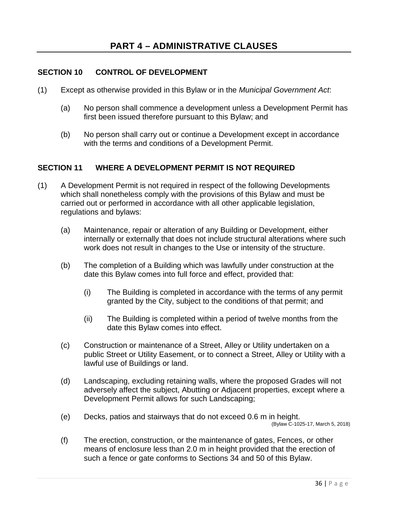### **SECTION 10 CONTROL OF DEVELOPMENT**

- (1) Except as otherwise provided in this Bylaw or in the *Municipal Government Act*:
	- (a) No person shall commence a development unless a Development Permit has first been issued therefore pursuant to this Bylaw; and
	- (b) No person shall carry out or continue a Development except in accordance with the terms and conditions of a Development Permit.

### **SECTION 11 WHERE A DEVELOPMENT PERMIT IS NOT REQUIRED**

- (1) A Development Permit is not required in respect of the following Developments which shall nonetheless comply with the provisions of this Bylaw and must be carried out or performed in accordance with all other applicable legislation, regulations and bylaws:
	- (a) Maintenance, repair or alteration of any Building or Development, either internally or externally that does not include structural alterations where such work does not result in changes to the Use or intensity of the structure.
	- (b) The completion of a Building which was lawfully under construction at the date this Bylaw comes into full force and effect, provided that:
		- (i) The Building is completed in accordance with the terms of any permit granted by the City, subject to the conditions of that permit; and
		- (ii) The Building is completed within a period of twelve months from the date this Bylaw comes into effect.
	- (c) Construction or maintenance of a Street, Alley or Utility undertaken on a public Street or Utility Easement, or to connect a Street, Alley or Utility with a lawful use of Buildings or land.
	- (d) Landscaping, excluding retaining walls, where the proposed Grades will not adversely affect the subject, Abutting or Adjacent properties, except where a Development Permit allows for such Landscaping;
	- (e) Decks, patios and stairways that do not exceed 0.6 m in height.

(Bylaw C-1025-17, March 5, 2018)

(f) The erection, construction, or the maintenance of gates, Fences, or other means of enclosure less than 2.0 m in height provided that the erection of such a fence or gate conforms to Sections 34 and 50 of this Bylaw.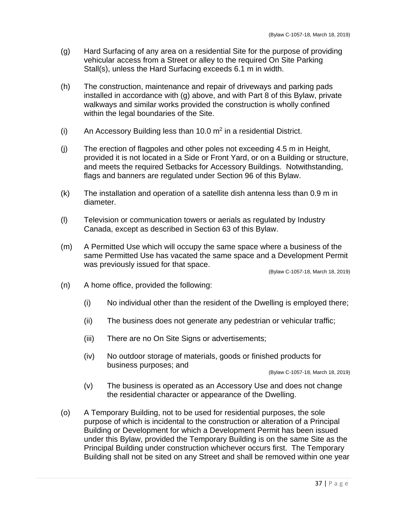- (g) Hard Surfacing of any area on a residential Site for the purpose of providing vehicular access from a Street or alley to the required On Site Parking Stall(s), unless the Hard Surfacing exceeds 6.1 m in width.
- (h) The construction, maintenance and repair of driveways and parking pads installed in accordance with (g) above, and with Part 8 of this Bylaw, private walkways and similar works provided the construction is wholly confined within the legal boundaries of the Site.
- (i) An Accessory Building less than 10.0  $m^2$  in a residential District.
- (j) The erection of flagpoles and other poles not exceeding 4.5 m in Height, provided it is not located in a Side or Front Yard, or on a Building or structure, and meets the required Setbacks for Accessory Buildings. Notwithstanding, flags and banners are regulated under Section 96 of this Bylaw.
- (k) The installation and operation of a satellite dish antenna less than 0.9 m in diameter.
- (l) Television or communication towers or aerials as regulated by Industry Canada, except as described in Section 63 of this Bylaw.
- (m) A Permitted Use which will occupy the same space where a business of the same Permitted Use has vacated the same space and a Development Permit was previously issued for that space.

(Bylaw C-1057-18, March 18, 2019)

- (n) A home office, provided the following:
	- (i) No individual other than the resident of the Dwelling is employed there;
	- (ii) The business does not generate any pedestrian or vehicular traffic;
	- (iii) There are no On Site Signs or advertisements;
	- (iv) No outdoor storage of materials, goods or finished products for business purposes; and

(Bylaw C-1057-18, March 18, 2019)

- (v) The business is operated as an Accessory Use and does not change the residential character or appearance of the Dwelling.
- (o) A Temporary Building, not to be used for residential purposes, the sole purpose of which is incidental to the construction or alteration of a Principal Building or Development for which a Development Permit has been issued under this Bylaw, provided the Temporary Building is on the same Site as the Principal Building under construction whichever occurs first. The Temporary Building shall not be sited on any Street and shall be removed within one year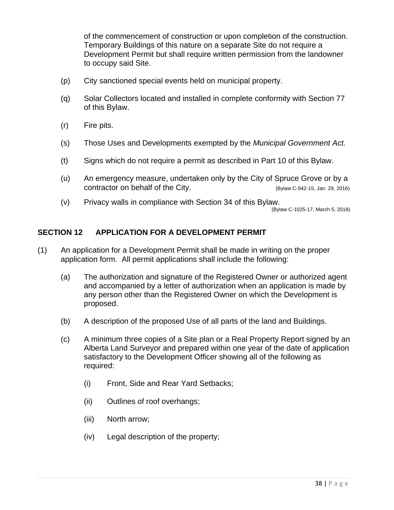of the commencement of construction or upon completion of the construction. Temporary Buildings of this nature on a separate Site do not require a Development Permit but shall require written permission from the landowner to occupy said Site.

- (p) City sanctioned special events held on municipal property.
- (q) Solar Collectors located and installed in complete conformity with Section 77 of this Bylaw.
- (r) Fire pits.
- (s) Those Uses and Developments exempted by the *Municipal Government Act.*
- (t) Signs which do not require a permit as described in Part 10 of this Bylaw.
- (u) An emergency measure, undertaken only by the City of Spruce Grove or by a contractor on behalf of the City. (Bylaw C-942-15, Jan. 29, 2016)
- (v) Privacy walls in compliance with Section 34 of this Bylaw.

(Bylaw C-1025-17, March 5, 2018)

### **SECTION 12 APPLICATION FOR A DEVELOPMENT PERMIT**

- (1) An application for a Development Permit shall be made in writing on the proper application form. All permit applications shall include the following:
	- (a) The authorization and signature of the Registered Owner or authorized agent and accompanied by a letter of authorization when an application is made by any person other than the Registered Owner on which the Development is proposed.
	- (b) A description of the proposed Use of all parts of the land and Buildings.
	- (c) A minimum three copies of a Site plan or a Real Property Report signed by an Alberta Land Surveyor and prepared within one year of the date of application satisfactory to the Development Officer showing all of the following as required:
		- (i) Front, Side and Rear Yard Setbacks;
		- (ii) Outlines of roof overhangs;
		- (iii) North arrow;
		- (iv) Legal description of the property;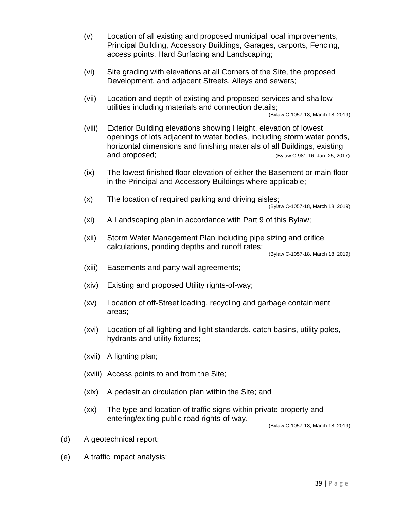- (v) Location of all existing and proposed municipal local improvements, Principal Building, Accessory Buildings, Garages, carports, Fencing, access points, Hard Surfacing and Landscaping;
- (vi) Site grading with elevations at all Corners of the Site, the proposed Development, and adjacent Streets, Alleys and sewers;
- (vii) Location and depth of existing and proposed services and shallow utilities including materials and connection details;

(Bylaw C-1057-18, March 18, 2019)

- (viii) Exterior Building elevations showing Height, elevation of lowest openings of lots adjacent to water bodies, including storm water ponds, horizontal dimensions and finishing materials of all Buildings, existing and proposed; (Bylaw C-981-16, Jan. 25, 2017)
- (ix) The lowest finished floor elevation of either the Basement or main floor in the Principal and Accessory Buildings where applicable;
- (x) The location of required parking and driving aisles;

(Bylaw C-1057-18, March 18, 2019)

- (xi) A Landscaping plan in accordance with Part 9 of this Bylaw;
- (xii) Storm Water Management Plan including pipe sizing and orifice calculations, ponding depths and runoff rates;

(Bylaw C-1057-18, March 18, 2019)

- (xiii) Easements and party wall agreements;
- (xiv) Existing and proposed Utility rights-of-way;
- (xv) Location of off-Street loading, recycling and garbage containment areas;
- (xvi) Location of all lighting and light standards, catch basins, utility poles, hydrants and utility fixtures;
- (xvii) A lighting plan;
- (xviii) Access points to and from the Site;
- (xix) A pedestrian circulation plan within the Site; and
- (xx) The type and location of traffic signs within private property and entering/exiting public road rights-of-way.

(Bylaw C-1057-18, March 18, 2019)

- (d) A geotechnical report;
- (e) A traffic impact analysis;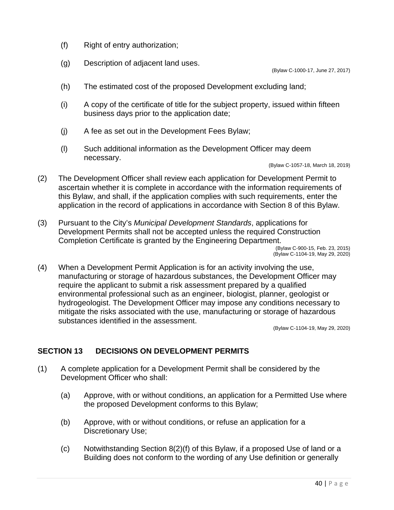- (f) Right of entry authorization;
- (g) Description of adjacent land uses.

(Bylaw C-1000-17, June 27, 2017)

- (h) The estimated cost of the proposed Development excluding land;
- (i) A copy of the certificate of title for the subject property, issued within fifteen business days prior to the application date;
- (j) A fee as set out in the Development Fees Bylaw;
- (l) Such additional information as the Development Officer may deem necessary.

(Bylaw C-1057-18, March 18, 2019)

- (2) The Development Officer shall review each application for Development Permit to ascertain whether it is complete in accordance with the information requirements of this Bylaw, and shall, if the application complies with such requirements, enter the application in the record of applications in accordance with Section 8 of this Bylaw.
- (3) Pursuant to the City's *Municipal Development Standards*, applications for Development Permits shall not be accepted unless the required Construction Completion Certificate is granted by the Engineering Department. (Bylaw C-900-15, Feb. 23, 2015) (Bylaw C-1104-19, May 29, 2020)
- (4) When a Development Permit Application is for an activity involving the use, manufacturing or storage of hazardous substances, the Development Officer may require the applicant to submit a risk assessment prepared by a qualified environmental professional such as an engineer, biologist, planner, geologist or hydrogeologist. The Development Officer may impose any conditions necessary to mitigate the risks associated with the use, manufacturing or storage of hazardous substances identified in the assessment.

(Bylaw C-1104-19, May 29, 2020)

# **SECTION 13 DECISIONS ON DEVELOPMENT PERMITS**

- (1) A complete application for a Development Permit shall be considered by the Development Officer who shall:
	- (a) Approve, with or without conditions, an application for a Permitted Use where the proposed Development conforms to this Bylaw;
	- (b) Approve, with or without conditions, or refuse an application for a Discretionary Use;
	- (c) Notwithstanding Section 8(2)(f) of this Bylaw, if a proposed Use of land or a Building does not conform to the wording of any Use definition or generally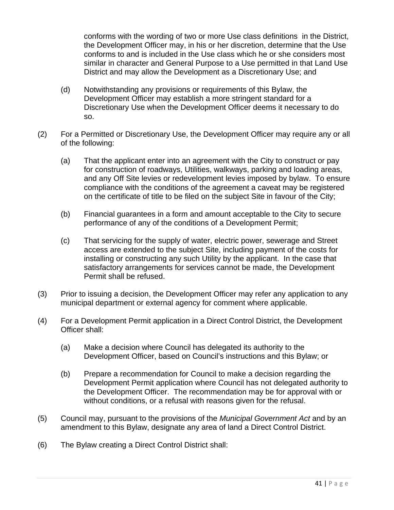conforms with the wording of two or more Use class definitions in the District, the Development Officer may, in his or her discretion, determine that the Use conforms to and is included in the Use class which he or she considers most similar in character and General Purpose to a Use permitted in that Land Use District and may allow the Development as a Discretionary Use; and

- (d) Notwithstanding any provisions or requirements of this Bylaw, the Development Officer may establish a more stringent standard for a Discretionary Use when the Development Officer deems it necessary to do so.
- (2) For a Permitted or Discretionary Use, the Development Officer may require any or all of the following:
	- (a) That the applicant enter into an agreement with the City to construct or pay for construction of roadways, Utilities, walkways, parking and loading areas, and any Off Site levies or redevelopment levies imposed by bylaw. To ensure compliance with the conditions of the agreement a caveat may be registered on the certificate of title to be filed on the subject Site in favour of the City;
	- (b) Financial guarantees in a form and amount acceptable to the City to secure performance of any of the conditions of a Development Permit;
	- (c) That servicing for the supply of water, electric power, sewerage and Street access are extended to the subject Site, including payment of the costs for installing or constructing any such Utility by the applicant. In the case that satisfactory arrangements for services cannot be made, the Development Permit shall be refused.
- (3) Prior to issuing a decision, the Development Officer may refer any application to any municipal department or external agency for comment where applicable.
- (4) For a Development Permit application in a Direct Control District, the Development Officer shall:
	- (a) Make a decision where Council has delegated its authority to the Development Officer, based on Council's instructions and this Bylaw; or
	- (b) Prepare a recommendation for Council to make a decision regarding the Development Permit application where Council has not delegated authority to the Development Officer. The recommendation may be for approval with or without conditions, or a refusal with reasons given for the refusal.
- (5) Council may, pursuant to the provisions of the *Municipal Government Act* and by an amendment to this Bylaw, designate any area of land a Direct Control District.
- (6) The Bylaw creating a Direct Control District shall: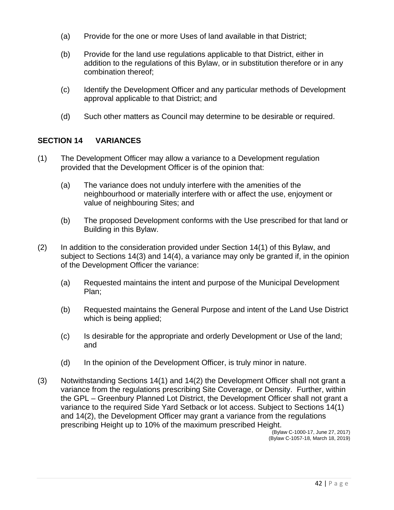- (a) Provide for the one or more Uses of land available in that District;
- (b) Provide for the land use regulations applicable to that District, either in addition to the regulations of this Bylaw, or in substitution therefore or in any combination thereof;
- (c) Identify the Development Officer and any particular methods of Development approval applicable to that District; and
- (d) Such other matters as Council may determine to be desirable or required.

### **SECTION 14 VARIANCES**

- (1) The Development Officer may allow a variance to a Development regulation provided that the Development Officer is of the opinion that:
	- (a) The variance does not unduly interfere with the amenities of the neighbourhood or materially interfere with or affect the use, enjoyment or value of neighbouring Sites; and
	- (b) The proposed Development conforms with the Use prescribed for that land or Building in this Bylaw.
- (2) In addition to the consideration provided under Section 14(1) of this Bylaw, and subject to Sections 14(3) and 14(4), a variance may only be granted if, in the opinion of the Development Officer the variance:
	- (a) Requested maintains the intent and purpose of the Municipal Development Plan;
	- (b) Requested maintains the General Purpose and intent of the Land Use District which is being applied;
	- (c) Is desirable for the appropriate and orderly Development or Use of the land; and
	- (d) In the opinion of the Development Officer, is truly minor in nature.
- (3) Notwithstanding Sections 14(1) and 14(2) the Development Officer shall not grant a variance from the regulations prescribing Site Coverage, or Density. Further, within the GPL – Greenbury Planned Lot District, the Development Officer shall not grant a variance to the required Side Yard Setback or lot access. Subject to Sections 14(1) and 14(2), the Development Officer may grant a variance from the regulations prescribing Height up to 10% of the maximum prescribed Height.

(Bylaw C-1000-17, June 27, 2017) (Bylaw C-1057-18, March 18, 2019)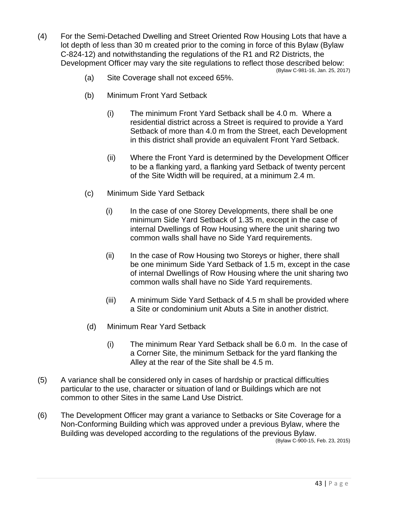- (4) For the Semi-Detached Dwelling and Street Oriented Row Housing Lots that have a lot depth of less than 30 m created prior to the coming in force of this Bylaw (Bylaw C-824-12) and notwithstanding the regulations of the R1 and R2 Districts, the Development Officer may vary the site regulations to reflect those described below: (Bylaw C-981-16, Jan. 25, 2017)
	- (a) Site Coverage shall not exceed 65%.
	- (b) Minimum Front Yard Setback
		- (i) The minimum Front Yard Setback shall be 4.0 m. Where a residential district across a Street is required to provide a Yard Setback of more than 4.0 m from the Street, each Development in this district shall provide an equivalent Front Yard Setback.
		- (ii) Where the Front Yard is determined by the Development Officer to be a flanking yard, a flanking yard Setback of twenty percent of the Site Width will be required, at a minimum 2.4 m.
	- (c) Minimum Side Yard Setback
		- (i) In the case of one Storey Developments, there shall be one minimum Side Yard Setback of 1.35 m, except in the case of internal Dwellings of Row Housing where the unit sharing two common walls shall have no Side Yard requirements.
		- (ii) In the case of Row Housing two Storeys or higher, there shall be one minimum Side Yard Setback of 1.5 m, except in the case of internal Dwellings of Row Housing where the unit sharing two common walls shall have no Side Yard requirements.
		- (iii) A minimum Side Yard Setback of 4.5 m shall be provided where a Site or condominium unit Abuts a Site in another district.
	- (d) Minimum Rear Yard Setback
		- (i) The minimum Rear Yard Setback shall be 6.0 m. In the case of a Corner Site, the minimum Setback for the yard flanking the Alley at the rear of the Site shall be 4.5 m.
- (5) A variance shall be considered only in cases of hardship or practical difficulties particular to the use, character or situation of land or Buildings which are not common to other Sites in the same Land Use District.
- (6) The Development Officer may grant a variance to Setbacks or Site Coverage for a Non-Conforming Building which was approved under a previous Bylaw, where the Building was developed according to the regulations of the previous Bylaw. (Bylaw C-900-15, Feb. 23, 2015)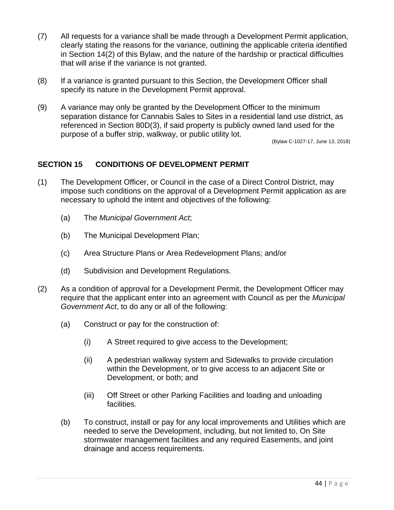- (7) All requests for a variance shall be made through a Development Permit application, clearly stating the reasons for the variance, outlining the applicable criteria identified in Section 14(2) of this Bylaw, and the nature of the hardship or practical difficulties that will arise if the variance is not granted.
- (8) If a variance is granted pursuant to this Section, the Development Officer shall specify its nature in the Development Permit approval.
- (9) A variance may only be granted by the Development Officer to the minimum separation distance for Cannabis Sales to Sites in a residential land use district, as referenced in Section 80D(3), if said property is publicly owned land used for the purpose of a buffer strip, walkway, or public utility lot.

(Bylaw C-1027-17, June 13, 2018)

### **SECTION 15 CONDITIONS OF DEVELOPMENT PERMIT**

- (1) The Development Officer, or Council in the case of a Direct Control District, may impose such conditions on the approval of a Development Permit application as are necessary to uphold the intent and objectives of the following:
	- (a) The *Municipal Government Act*;
	- (b) The Municipal Development Plan;
	- (c) Area Structure Plans or Area Redevelopment Plans; and/or
	- (d) Subdivision and Development Regulations.
- (2) As a condition of approval for a Development Permit, the Development Officer may require that the applicant enter into an agreement with Council as per the *Municipal Government Act*, to do any or all of the following:
	- (a) Construct or pay for the construction of:
		- (i) A Street required to give access to the Development;
		- (ii) A pedestrian walkway system and Sidewalks to provide circulation within the Development, or to give access to an adjacent Site or Development, or both; and
		- (iii) Off Street or other Parking Facilities and loading and unloading facilities.
	- (b) To construct, install or pay for any local improvements and Utilities which are needed to serve the Development, including, but not limited to, On Site stormwater management facilities and any required Easements, and joint drainage and access requirements.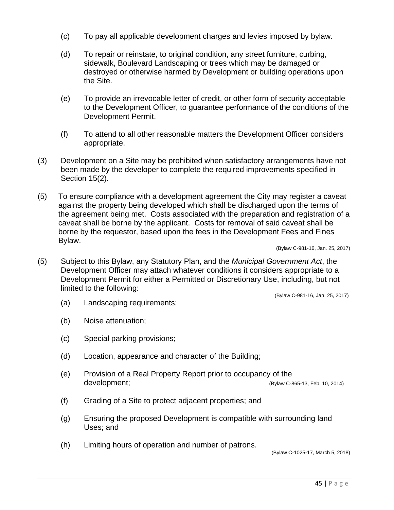- (c) To pay all applicable development charges and levies imposed by bylaw.
- (d) To repair or reinstate, to original condition, any street furniture, curbing, sidewalk, Boulevard Landscaping or trees which may be damaged or destroyed or otherwise harmed by Development or building operations upon the Site.
- (e) To provide an irrevocable letter of credit, or other form of security acceptable to the Development Officer, to guarantee performance of the conditions of the Development Permit.
- (f) To attend to all other reasonable matters the Development Officer considers appropriate.
- (3) Development on a Site may be prohibited when satisfactory arrangements have not been made by the developer to complete the required improvements specified in Section 15(2).
- (5) To ensure compliance with a development agreement the City may register a caveat against the property being developed which shall be discharged upon the terms of the agreement being met. Costs associated with the preparation and registration of a caveat shall be borne by the applicant. Costs for removal of said caveat shall be borne by the requestor, based upon the fees in the Development Fees and Fines Bylaw.

(Bylaw C-981-16, Jan. 25, 2017)

(5) Subject to this Bylaw, any Statutory Plan, and the *Municipal Government Act*, the Development Officer may attach whatever conditions it considers appropriate to a Development Permit for either a Permitted or Discretionary Use, including, but not limited to the following:

(Bylaw C-981-16, Jan. 25, 2017)

- (a) Landscaping requirements;
- (b) Noise attenuation;
- (c) Special parking provisions;
- (d) Location, appearance and character of the Building;
- (e) Provision of a Real Property Report prior to occupancy of the development; (Bylaw C-865-13, Feb. 10, 2014)
- (f) Grading of a Site to protect adjacent properties; and
- (g) Ensuring the proposed Development is compatible with surrounding land Uses; and
- (h) Limiting hours of operation and number of patrons.

(Bylaw C-1025-17, March 5, 2018)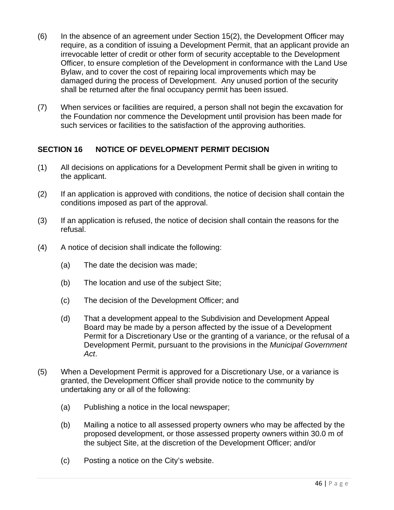- (6) In the absence of an agreement under Section 15(2), the Development Officer may require, as a condition of issuing a Development Permit, that an applicant provide an irrevocable letter of credit or other form of security acceptable to the Development Officer, to ensure completion of the Development in conformance with the Land Use Bylaw, and to cover the cost of repairing local improvements which may be damaged during the process of Development. Any unused portion of the security shall be returned after the final occupancy permit has been issued.
- (7) When services or facilities are required, a person shall not begin the excavation for the Foundation nor commence the Development until provision has been made for such services or facilities to the satisfaction of the approving authorities.

### **SECTION 16 NOTICE OF DEVELOPMENT PERMIT DECISION**

- (1) All decisions on applications for a Development Permit shall be given in writing to the applicant.
- (2) If an application is approved with conditions, the notice of decision shall contain the conditions imposed as part of the approval.
- (3) If an application is refused, the notice of decision shall contain the reasons for the refusal.
- (4) A notice of decision shall indicate the following:
	- (a) The date the decision was made;
	- (b) The location and use of the subject Site;
	- (c) The decision of the Development Officer; and
	- (d) That a development appeal to the Subdivision and Development Appeal Board may be made by a person affected by the issue of a Development Permit for a Discretionary Use or the granting of a variance, or the refusal of a Development Permit, pursuant to the provisions in the *Municipal Government Act*.
- (5) When a Development Permit is approved for a Discretionary Use, or a variance is granted, the Development Officer shall provide notice to the community by undertaking any or all of the following:
	- (a) Publishing a notice in the local newspaper;
	- (b) Mailing a notice to all assessed property owners who may be affected by the proposed development, or those assessed property owners within 30.0 m of the subject Site, at the discretion of the Development Officer; and/or
	- (c) Posting a notice on the City's website.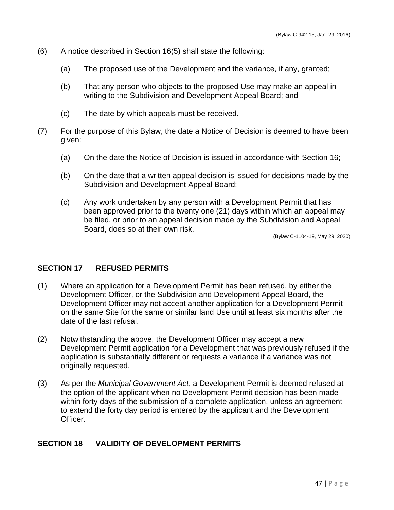- (6) A notice described in Section 16(5) shall state the following:
	- (a) The proposed use of the Development and the variance, if any, granted;
	- (b) That any person who objects to the proposed Use may make an appeal in writing to the Subdivision and Development Appeal Board; and
	- (c) The date by which appeals must be received.
- (7) For the purpose of this Bylaw, the date a Notice of Decision is deemed to have been given:
	- (a) On the date the Notice of Decision is issued in accordance with Section 16;
	- (b) On the date that a written appeal decision is issued for decisions made by the Subdivision and Development Appeal Board;
	- (c) Any work undertaken by any person with a Development Permit that has been approved prior to the twenty one (21) days within which an appeal may be filed, or prior to an appeal decision made by the Subdivision and Appeal Board, does so at their own risk.

(Bylaw C-1104-19, May 29, 2020)

### **SECTION 17 REFUSED PERMITS**

- (1) Where an application for a Development Permit has been refused, by either the Development Officer, or the Subdivision and Development Appeal Board, the Development Officer may not accept another application for a Development Permit on the same Site for the same or similar land Use until at least six months after the date of the last refusal.
- (2) Notwithstanding the above, the Development Officer may accept a new Development Permit application for a Development that was previously refused if the application is substantially different or requests a variance if a variance was not originally requested.
- (3) As per the *Municipal Government Act*, a Development Permit is deemed refused at the option of the applicant when no Development Permit decision has been made within forty days of the submission of a complete application, unless an agreement to extend the forty day period is entered by the applicant and the Development Officer.

# **SECTION 18 VALIDITY OF DEVELOPMENT PERMITS**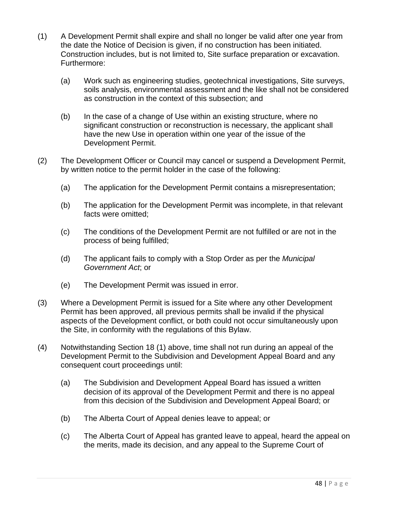- (1) A Development Permit shall expire and shall no longer be valid after one year from the date the Notice of Decision is given, if no construction has been initiated. Construction includes, but is not limited to, Site surface preparation or excavation. Furthermore:
	- (a) Work such as engineering studies, geotechnical investigations, Site surveys, soils analysis, environmental assessment and the like shall not be considered as construction in the context of this subsection; and
	- (b) In the case of a change of Use within an existing structure, where no significant construction or reconstruction is necessary, the applicant shall have the new Use in operation within one year of the issue of the Development Permit.
- (2) The Development Officer or Council may cancel or suspend a Development Permit, by written notice to the permit holder in the case of the following:
	- (a) The application for the Development Permit contains a misrepresentation;
	- (b) The application for the Development Permit was incomplete, in that relevant facts were omitted;
	- (c) The conditions of the Development Permit are not fulfilled or are not in the process of being fulfilled;
	- (d) The applicant fails to comply with a Stop Order as per the *Municipal Government Act*; or
	- (e) The Development Permit was issued in error.
- (3) Where a Development Permit is issued for a Site where any other Development Permit has been approved, all previous permits shall be invalid if the physical aspects of the Development conflict, or both could not occur simultaneously upon the Site, in conformity with the regulations of this Bylaw.
- (4) Notwithstanding Section 18 (1) above, time shall not run during an appeal of the Development Permit to the Subdivision and Development Appeal Board and any consequent court proceedings until:
	- (a) The Subdivision and Development Appeal Board has issued a written decision of its approval of the Development Permit and there is no appeal from this decision of the Subdivision and Development Appeal Board; or
	- (b) The Alberta Court of Appeal denies leave to appeal; or
	- (c) The Alberta Court of Appeal has granted leave to appeal, heard the appeal on the merits, made its decision, and any appeal to the Supreme Court of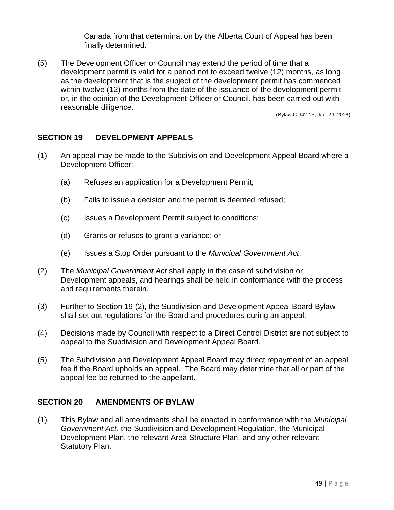Canada from that determination by the Alberta Court of Appeal has been finally determined.

(5) The Development Officer or Council may extend the period of time that a development permit is valid for a period not to exceed twelve (12) months, as long as the development that is the subject of the development permit has commenced within twelve (12) months from the date of the issuance of the development permit or, in the opinion of the Development Officer or Council, has been carried out with reasonable diligence.

(Bylaw C-942-15, Jan. 29, 2016)

### **SECTION 19 DEVELOPMENT APPEALS**

- (1) An appeal may be made to the Subdivision and Development Appeal Board where a Development Officer:
	- (a) Refuses an application for a Development Permit;
	- (b) Fails to issue a decision and the permit is deemed refused;
	- (c) Issues a Development Permit subject to conditions;
	- (d) Grants or refuses to grant a variance; or
	- (e) Issues a Stop Order pursuant to the *Municipal Government Act*.
- (2) The *Municipal Government Act* shall apply in the case of subdivision or Development appeals, and hearings shall be held in conformance with the process and requirements therein.
- (3) Further to Section 19 (2), the Subdivision and Development Appeal Board Bylaw shall set out regulations for the Board and procedures during an appeal.
- (4) Decisions made by Council with respect to a Direct Control District are not subject to appeal to the Subdivision and Development Appeal Board.
- (5) The Subdivision and Development Appeal Board may direct repayment of an appeal fee if the Board upholds an appeal. The Board may determine that all or part of the appeal fee be returned to the appellant.

### **SECTION 20 AMENDMENTS OF BYLAW**

(1) This Bylaw and all amendments shall be enacted in conformance with the *Municipal Government Act*, the Subdivision and Development Regulation, the Municipal Development Plan, the relevant Area Structure Plan, and any other relevant Statutory Plan.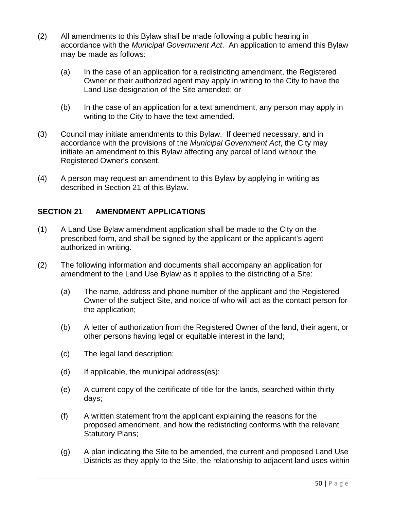- (2) All amendments to this Bylaw shall be made following a public hearing in accordance with the *Municipal Government Act*. An application to amend this Bylaw may be made as follows:
	- (a) In the case of an application for a redistricting amendment, the Registered Owner or their authorized agent may apply in writing to the City to have the Land Use designation of the Site amended; or
	- (b) In the case of an application for a text amendment, any person may apply in writing to the City to have the text amended.
- (3) Council may initiate amendments to this Bylaw. If deemed necessary, and in accordance with the provisions of the *Municipal Government Act*, the City may initiate an amendment to this Bylaw affecting any parcel of land without the Registered Owner's consent.
- (4) A person may request an amendment to this Bylaw by applying in writing as described in Section 21 of this Bylaw.

# **SECTION 21 AMENDMENT APPLICATIONS**

- (1) A Land Use Bylaw amendment application shall be made to the City on the prescribed form, and shall be signed by the applicant or the applicant's agent authorized in writing.
- (2) The following information and documents shall accompany an application for amendment to the Land Use Bylaw as it applies to the districting of a Site:
	- (a) The name, address and phone number of the applicant and the Registered Owner of the subject Site, and notice of who will act as the contact person for the application;
	- (b) A letter of authorization from the Registered Owner of the land, their agent, or other persons having legal or equitable interest in the land;
	- (c) The legal land description;
	- (d) If applicable, the municipal address(es);
	- (e) A current copy of the certificate of title for the lands, searched within thirty days;
	- (f) A written statement from the applicant explaining the reasons for the proposed amendment, and how the redistricting conforms with the relevant Statutory Plans;
	- (g) A plan indicating the Site to be amended, the current and proposed Land Use Districts as they apply to the Site, the relationship to adjacent land uses within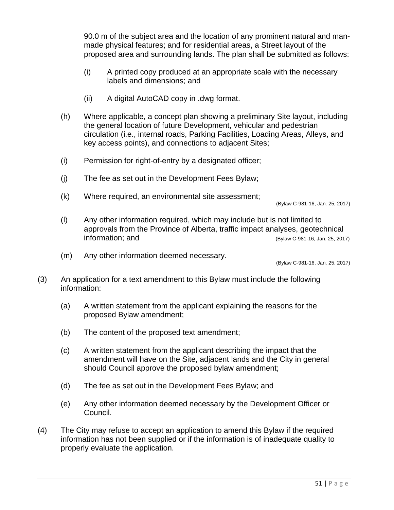90.0 m of the subject area and the location of any prominent natural and manmade physical features; and for residential areas, a Street layout of the proposed area and surrounding lands. The plan shall be submitted as follows:

- (i) A printed copy produced at an appropriate scale with the necessary labels and dimensions; and
- (ii) A digital AutoCAD copy in .dwg format.
- (h) Where applicable, a concept plan showing a preliminary Site layout, including the general location of future Development, vehicular and pedestrian circulation (i.e., internal roads, Parking Facilities, Loading Areas, Alleys, and key access points), and connections to adjacent Sites;
- (i) Permission for right-of-entry by a designated officer;
- (j) The fee as set out in the Development Fees Bylaw;
- (k) Where required, an environmental site assessment;

(Bylaw C-981-16, Jan. 25, 2017)

- (l) Any other information required, which may include but is not limited to approvals from the Province of Alberta, traffic impact analyses, geotechnical information; and (Bylaw C-981-16, Jan. 25, 2017)
- (m) Any other information deemed necessary.

(Bylaw C-981-16, Jan. 25, 2017)

- (3) An application for a text amendment to this Bylaw must include the following information:
	- (a) A written statement from the applicant explaining the reasons for the proposed Bylaw amendment;
	- (b) The content of the proposed text amendment;
	- (c) A written statement from the applicant describing the impact that the amendment will have on the Site, adjacent lands and the City in general should Council approve the proposed bylaw amendment;
	- (d) The fee as set out in the Development Fees Bylaw; and
	- (e) Any other information deemed necessary by the Development Officer or Council.
- (4) The City may refuse to accept an application to amend this Bylaw if the required information has not been supplied or if the information is of inadequate quality to properly evaluate the application.